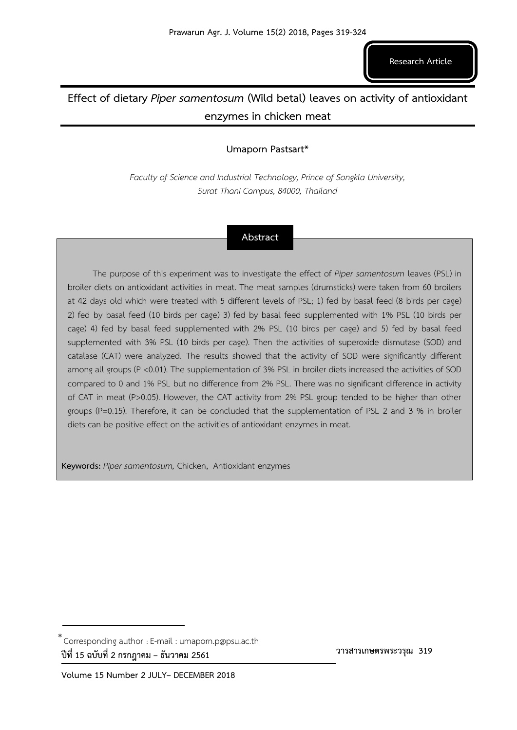# **Effect of dietary** *Piper samentosum* **(Wild betal) leaves on activity of antioxidant enzymes in chicken meat**

# **Umaporn Pastsart\***

*Faculty of Science and Industrial Technology, Prince of Songkla University, Surat Thani Campus, 84000, Thailand* 

# **Abstract**

The purpose of this experiment was to investigate the effect of *Piper samentosum* leaves (PSL) in broiler diets on antioxidant activities in meat. The meat samples (drumsticks) were taken from 60 broilers at 42 days old which were treated with 5 different levels of PSL; 1) fed by basal feed (8 birds per cage) 2) fed by basal feed (10 birds per cage) 3) fed by basal feed supplemented with 1% PSL (10 birds per cage) 4) fed by basal feed supplemented with 2% PSL (10 birds per cage) and 5) fed by basal feed supplemented with 3% PSL (10 birds per cage). Then the activities of superoxide dismutase (SOD) and catalase (CAT) were analyzed. The results showed that the activity of SOD were significantly different among all groups (P <0.01). The supplementation of 3% PSL in broiler diets increased the activities of SOD compared to 0 and 1% PSL but no difference from 2% PSL. There was no significant difference in activity of CAT in meat (P>0.05). However, the CAT activity from 2% PSL group tended to be higher than other groups (P=0.15). Therefore, it can be concluded that the supplementation of PSL 2 and 3 % in broiler diets can be positive effect on the activities of antioxidant enzymes in meat.

**Keywords:** *Piper samentosum,* Chicken, Antioxidant enzymes

 **วารสารเกษตรพระวรุณ 319**

<sup>\*&</sup>lt;br>Corresponding author : E-mail : umaporn.p@psu.ac.th **ปีที่ 15 ฉบับที่ 2 กรกฎาคม – ธันวาคม 2561**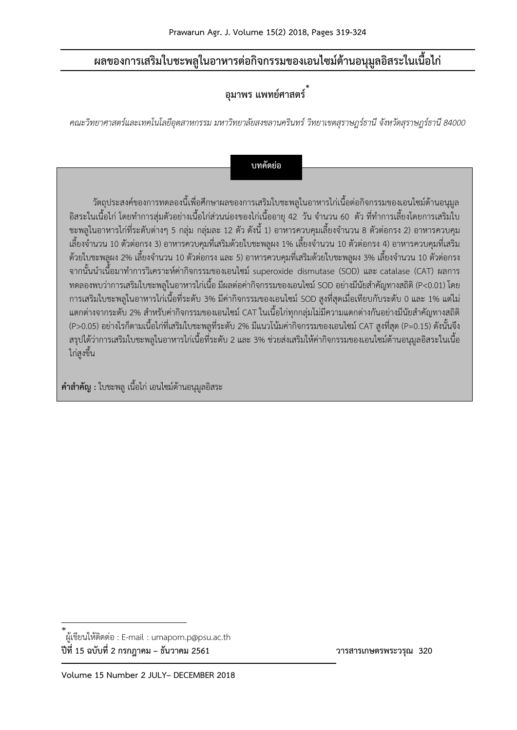# **ผลของการเสริมใบชะพลูในอาหารต่อกิจกรรมของเอนไซม์ต้านอนุมูลอิสระในเนื้อไก่**

# **อุมาพร แพทย์ศาสตร์**\*

*คณะวิทยาศาสตร์และเทคโนโลยีอุตสาหกรรม มหาวิทยาลัยสงขลานครินทร์ วิทยาเขตสุราษฎร์ธานี จังหวัดสุราษฎร์ธานี 84000*

**บทคัดย่อ**

วัตถุประสงค์ของการทดลองนี้เพื่อศึกษาผลของการเสริมใบชะพลูในอาหารไก่เนื้อต่อกิจกรรมของเอนไซม์ต้านอนุมูล ่ อิสระในเนื้อไก่ โดยทำการสุ่มตัวอย่างเนื้อไก่ส่วนน่องของไก่เนื้ออายุ 42 วัน จำนวน 60 ตัว ที่ทำการเลี้ยงโดยการเสริมใบ ี่ ชะพลูในอาหารไก่ที่ระดับต่างๆ 5 กลุ่ม กลุ่มละ 12 ตัว ดังนี้ 1) อาหารควบคุมเลี้ยงจำนวน 8 ตัวต่อกรง 2) อาหารควบคุม เลี้ยงจำนวน 10 ตัวต่อกรง 3) อาหารควบคุมที่เสริมด้วยใบชะพลูผง 1% เลี้ยงจำนวน 10 ตัวต่อกรง 4) อาหารควบคุมที่เสริม ้ด้วยใบชะพลูผง 2% เลี้ยงจำนวน 10 ตัวต่อกรง และ 5) อาหารควบคุมที่เสริมด้วยใบชะพลูผง 3% เลี้ยงจำนวน 10 ตัวต่อกรง จากนั้นน าเนื้อมาท าการวิเคราะห์ค่ากิจกรรมของเอนไซม์ superoxide dismutase (SOD) และ catalase (CAT) ผลการ ทดลองพบว่าการเสริมใบชะพลูในอาหารไก่เนื้อ มีผลต่อค่ากิจกรรมของเอนไซม์ SOD อย่างมีนัยส าคัญทางสถิติ (P<0.01) โดย การเสริมใบชะพลูในอาหารไก่เนื้อที่ระดับ 3% มีค่ากิจกรรมของเอนไซม์ SOD สูงที่สุดเมื่อเทียบกับระดับ 0 และ 1% แต่ไม่ ี แตกต่างจากระดับ 2% สำหรับค่ากิจกรรมของเอนไซม์ CAT ในเนื้อไก่ทุกกลุ่มไม่มีความแตกต่างกันอย่างมีนัยสำคัญทางสถิติ (P>0.05) อย่างไรก็ตามเนื้อไก่ที่เสริมใบชะพลูที่ระดับ 2% มีแนวโน้มค่ากิจกรรมของเอนไซม์CAT สูงที่สุด (P=0.15) ดังนั้นจึง สรุปได้ว่าการเสริมใบชะพลูในอาหารไก่เนื้อที่ระดับ 2 และ 3% ช่วยส่งเสริมให้ค่ากิจกรรมของเอนไซม์ต้านอนุมูลอิสระในเนื้อ ไก่สูงขึ้น

**ค าส าคัญ :** ใบชะพลู เนื้อไก่ เอนไซม์ต้านอนุมูลอิสระ

**ปีที่ 15 ฉบับที่ 2 กรกฎาคม – ธันวาคม 2561 วารสารเกษตรพระวรุณ 320**

<sup>\*</sup> ผู้เขียนให้ติดต่อ : E-mail : umaporn.p@psu.ac.th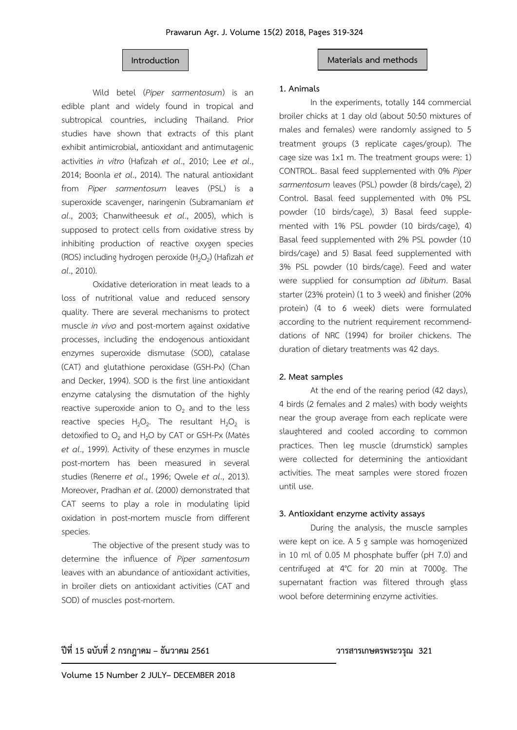## **Introduction Materials and methods**

Wild betel (*Piper sarmentosum*) is an edible plant and widely found in tropical and subtropical countries, including Thailand. Prior studies have shown that extracts of this plant exhibit antimicrobial, antioxidant and antimutagenic activities *in vitro* (Hafizah *et al*., 2010; Lee *et al*., 2014; Boonla *et al*., 2014). The natural antioxidant from *Piper sarmentosum* leaves (PSL) is a superoxide scavenger, naringenin (Subramaniam *et al*., 2003; Chanwitheesuk *et al*., 2005), which is supposed to protect cells from oxidative stress by inhibiting production of reactive oxygen species (ROS) including hydrogen peroxide (H<sub>2</sub>O<sub>2</sub>) (Hafizah *et al*., 2010).

Oxidative deterioration in meat leads to a loss of nutritional value and reduced sensory quality. There are several mechanisms to protect muscle *in vivo* and post-mortem against oxidative processes, including the endogenous antioxidant enzymes superoxide dismutase (SOD), catalase (CAT) and glutathione peroxidase (GSH-Px) (Chan and Decker, 1994). SOD is the first line antioxidant enzyme catalysing the dismutation of the highly reactive superoxide anion to  $O<sub>2</sub>$  and to the less reactive species  $H_2O_2$ . The resultant  $H_2O_2$  is detoxified to  $O_2$  and  $H_2O$  by CAT or GSH-Px (Matés *et al*., 1999). Activity of these enzymes in muscle post-mortem has been measured in several studies (Renerre *et al*., 1996; Qwele *et al*., 2013). Moreover, Pradhan *et al*. (2000) demonstrated that CAT seems to play a role in modulating lipid oxidation in post-mortem muscle from different species.

The objective of the present study was to determine the influence of *Piper samentosum* leaves with an abundance of antioxidant activities, in broiler diets on antioxidant activities (CAT and SOD) of muscles post-mortem.

### **1. Animals**

In the experiments, totally 144 commercial broiler chicks at 1 day old (about 50:50 mixtures of males and females) were randomly assigned to 5 treatment groups (3 replicate cages/group). The cage size was 1x1 m. The treatment groups were: 1) CONTROL. Basal feed supplemented with 0% *Piper sarmentosum* leaves (PSL) powder (8 birds/cage), 2) Control. Basal feed supplemented with 0% PSL powder (10 birds/cage), 3) Basal feed supplemented with 1% PSL powder (10 birds/cage), 4) Basal feed supplemented with 2% PSL powder (10 birds/cage) and 5) Basal feed supplemented with 3% PSL powder (10 birds/cage). Feed and water were supplied for consumption *ad libitum*. Basal starter (23% protein) (1 to 3 week) and finisher (20% protein) (4 to 6 week) diets were formulated according to the nutrient requirement recommenddations of NRC (1994) for broiler chickens. The duration of dietary treatments was 42 days.

#### **2. Meat samples**

At the end of the rearing period (42 days), 4 birds (2 females and 2 males) with body weights near the group average from each replicate were slaughtered and cooled according to common practices. Then leg muscle (drumstick) samples were collected for determining the antioxidant activities. The meat samples were stored frozen until use.

# **3. Antioxidant enzyme activity assays**

During the analysis, the muscle samples were kept on ice. A 5 g sample was homogenized in 10 ml of 0.05 M phosphate buffer (pH 7.0) and centrifuged at 4°C for 20 min at 7000g. The supernatant fraction was filtered through glass wool before determining enzyme activities.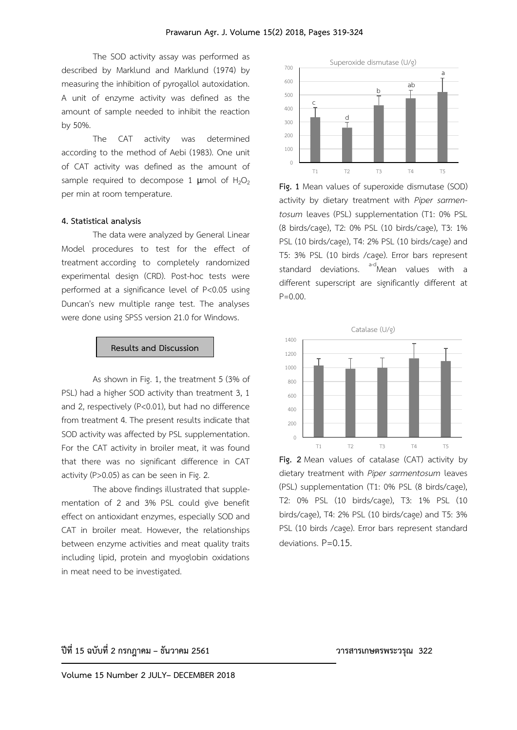The SOD activity assay was performed as described by Marklund and Marklund (1974) by measuring the inhibition of pyrogallol autoxidation. A unit of enzyme activity was defined as the amount of sample needed to inhibit the reaction by 50%.

The CAT activity was determined according to the method of Aebi (1983). One unit of CAT activity was defined as the amount of sample required to decompose 1  $\mu$ mol of H<sub>2</sub>O<sub>2</sub> per min at room temperature.

#### **4. Statistical analysis**

The data were analyzed by General Linear Model procedures to test for the effect of treatment according to completely randomized experimental design (CRD). Post-hoc tests were performed at a significance level of P<0.05 using Duncan's new multiple range test. The analyses were done using SPSS version 21.0 for Windows.

#### **Results and Discussion**

As shown in Fig. 1, the treatment 5 (3% of PSL) had a higher SOD activity than treatment 3, 1 and 2, respectively (P<0.01), but had no difference from treatment 4. The present results indicate that SOD activity was affected by PSL supplementation. For the CAT activity in broiler meat, it was found that there was no significant difference in CAT activity (P>0.05) as can be seen in Fig. 2.

The above findings illustrated that supplementation of 2 and 3% PSL could give benefit effect on antioxidant enzymes, especially SOD and CAT in broiler meat. However, the relationships between enzyme activities and meat quality traits including lipid, protein and myoglobin oxidations in meat need to be investigated.



**Fig. 1** Mean values of superoxide dismutase (SOD) activity by dietary treatment with *Piper sarmentosum* leaves (PSL) supplementation (T1: 0% PSL (8 birds/cage), T2: 0% PSL (10 birds/cage), T3: 1% PSL (10 birds/cage), T4: 2% PSL (10 birds/cage) and T5: 3% PSL (10 birds /cage). Error bars represent standard deviations. <sup>a-d</sup>Mean values with a different superscript are significantly different at P=0.00.



**Fig. 2** Mean values of catalase (CAT) activity by dietary treatment with *Piper sarmentosum* leaves (PSL) supplementation (T1: 0% PSL (8 birds/cage), T2: 0% PSL (10 birds/cage), T3: 1% PSL (10 birds/cage), T4: 2% PSL (10 birds/cage) and T5: 3% PSL (10 birds /cage). Error bars represent standard deviations. P=0.15.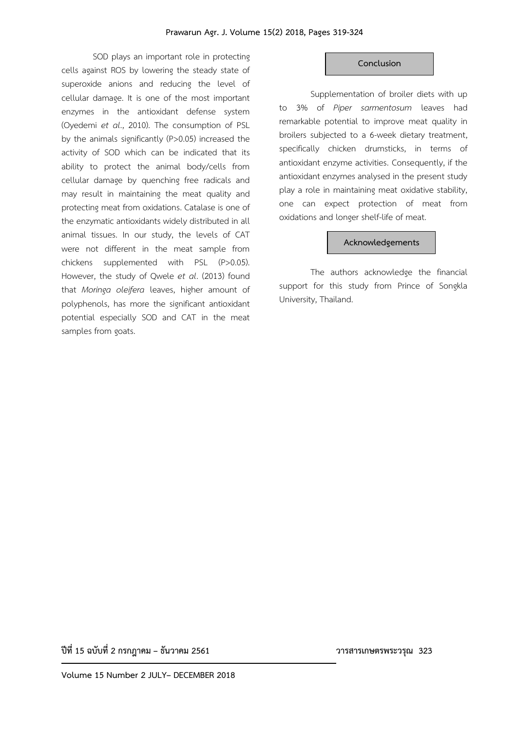SOD plays an important role in protecting cells against ROS by lowering the steady state of superoxide anions and reducing the level of cellular damage. It is one of the most important enzymes in the antioxidant defense system (Oyedemi *et al*., 2010). The consumption of PSL by the animals significantly (P>0.05) increased the activity of SOD which can be indicated that its ability to protect the animal body/cells from cellular damage by quenching free radicals and may result in maintaining the meat quality and protecting meat from oxidations. Catalase is one of the enzymatic antioxidants widely distributed in all animal tissues. In our study, the levels of CAT were not different in the meat sample from chickens supplemented with PSL (P>0.05). However, the study of Qwele *et al*. (2013) found that *Moringa oleifera* leaves, higher amount of polyphenols, has more the significant antioxidant potential especially SOD and CAT in the meat samples from goats.

### **Conclusion**

Supplementation of broiler diets with up to 3% of *Piper sarmentosum* leaves had remarkable potential to improve meat quality in broilers subjected to a 6-week dietary treatment, specifically chicken drumsticks, in terms of antioxidant enzyme activities. Consequently, if the antioxidant enzymes analysed in the present study play a role in maintaining meat oxidative stability, one can expect protection of meat from oxidations and longer shelf-life of meat.

### **Acknowledgements**

The authors acknowledge the financial support for this study from Prince of Songkla University, Thailand.

**ปีที่ 15 ฉบับที่ 2 กรกฎาคม – ธันวาคม 2561 วารสารเกษตรพระวรุณ 323**